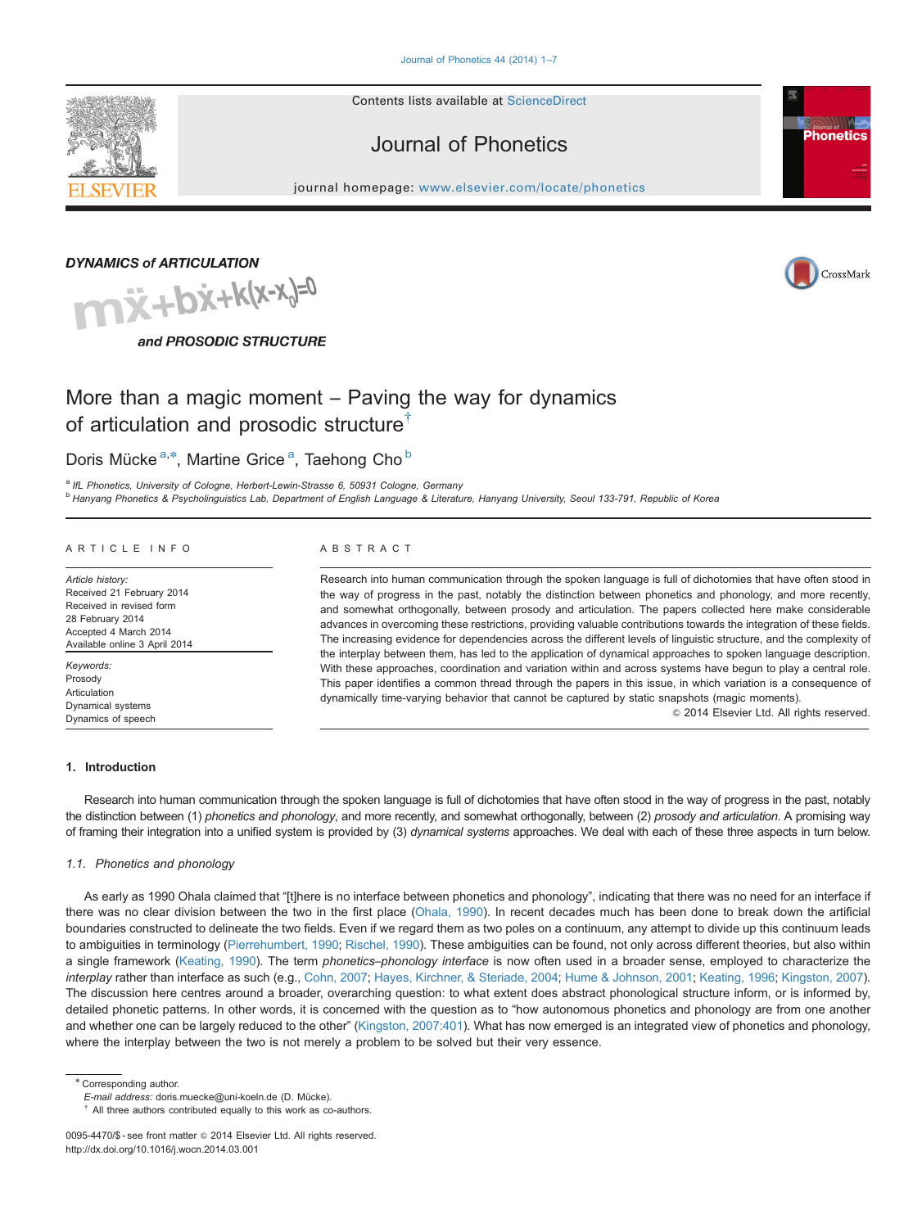Contents lists available at ScienceDirect

# Journal of Phonetics

journal homepage: <www.elsevier.com/locate/phonetics>/ $\frac{1}{2}$ 



 $n\ddot{x}+b\dot{x}+k(x-x)=0$ 

and PROSODIC STRUCTURE

## More than a magic moment – Paving the way for dynamics of articulation and prosodic structure<sup> $\dagger$ </sup>

## Doris Mücke<sup>a,\*</sup>, Martine Grice<sup>a</sup>, Taehong Cho<sup>b</sup>

<sup>a</sup> IfL Phonetics, University of Cologne, Herbert-Lewin-Strasse 6, 50931 Cologne, Germany <sup>b</sup> Hanyang Phonetics & Psycholinguistics Lab, Department of English Language & Literature, Hanyang University, Seoul 133-791, Republic of Korea

## ARTICLE INFO

Article history: Received 21 February 2014 Received in revised form 28 February 2014 Accepted 4 March 2014 Available online 3 April 2014 Keywords: Prosody Articulation Dynamical systems Dynamics of speech

## 1. Introduction

## ABSTRACT

Research into human communication through the spoken language is full of dichotomies that have often stood in the way of progress in the past, notably the distinction between phonetics and phonology, and more recently, and somewhat orthogonally, between prosody and articulation. The papers collected here make considerable advances in overcoming these restrictions, providing valuable contributions towards the integration of these fields. The increasing evidence for dependencies across the different levels of linguistic structure, and the complexity of the interplay between them, has led to the application of dynamical approaches to spoken language description. With these approaches, coordination and variation within and across systems have begun to play a central role. This paper identifies a common thread through the papers in this issue, in which variation is a consequence of dynamically time-varying behavior that cannot be captured by static snapshots (magic moments).

 $©$  2014 Elsevier Ltd. All rights reserved.

Research into human communication through the spoken language is full of dichotomies that have often stood in the way of progress in the past, notably the distinction between (1) phonetics and phonology, and more recently, and somewhat orthogonally, between (2) prosody and articulation. A promising way of framing their integration into a unified system is provided by (3) dynamical systems approaches. We deal with each of these three aspects in turn below.

## 1.1. Phonetics and phonology

As early as 1990 Ohala claimed that "[t]here is no interface between phonetics and phonology", indicating that there was no need for an interface if there was no clear division between the two in the first place [\(Ohala, 1990](#page-6-0)). In recent decades much has been done to break down the artificial boundaries constructed to delineate the two fields. Even if we regard them as two poles on a continuum, any attempt to divide up this continuum leads to ambiguities in terminology [\(Pierrehumbert, 1990;](#page-6-0) [Rischel, 1990](#page-6-0)). These ambiguities can be found, not only across different theories, but also within a single framework ([Keating, 1990](#page-6-0)). The term phonetics–phonology interface is now often used in a broader sense, employed to characterize the interplay rather than interface as such (e.g., [Cohn, 2007](#page-6-0); [Hayes, Kirchner, & Steriade, 2004;](#page-6-0) [Hume](#page-6-0) & [Johnson, 2001;](#page-6-0) [Keating, 1996;](#page-6-0) [Kingston, 2007\)](#page-6-0). The discussion here centres around a broader, overarching question: to what extent does abstract phonological structure inform, or is informed by, detailed phonetic patterns. In other words, it is concerned with the question as to "how autonomous phonetics and phonology are from one another and whether one can be largely reduced to the other" [\(Kingston, 2007:401](#page-6-0)). What has now emerged is an integrated view of phonetics and phonology, where the interplay between the two is not merely a problem to be solved but their very essence.

\* Corresponding author.



**Phonetics** 

E-mail address: [doris.muecke@uni-koeln.de \(](mailto:doris.muecke@uni-koeln.de)D. Mücke).

 $\dagger$  All three authors contributed equally to this work as co-authors.

<sup>0095-4470/\$ -</sup> see front matter © 2014 Elsevier Ltd. All rights reserved. [http://dx.doi.org/10.1016/j.wocn.2014.03.001](dx.doi.org/10.1016/j.wocn.2014.03.001)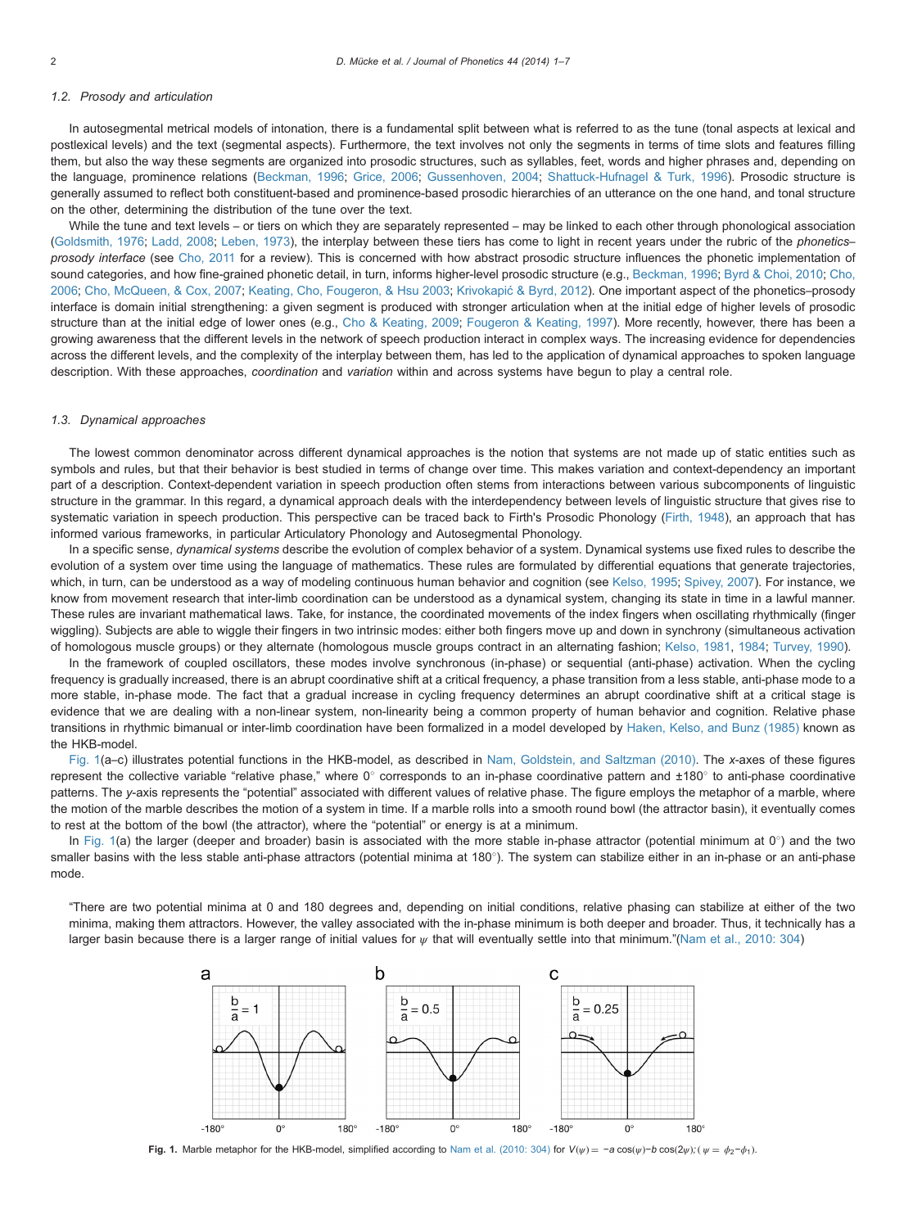#### <span id="page-1-0"></span>1.2. Prosody and articulation

In autosegmental metrical models of intonation, there is a fundamental split between what is referred to as the tune (tonal aspects at lexical and postlexical levels) and the text (segmental aspects). Furthermore, the text involves not only the segments in terms of time slots and features filling them, but also the way these segments are organized into prosodic structures, such as syllables, feet, words and higher phrases and, depending on the language, prominence relations [\(Beckman, 1996](#page-6-0); [Grice, 2006](#page-6-0); [Gussenhoven, 2004](#page-6-0); [Shattuck-Hufnagel](#page-6-0) & [Turk, 1996](#page-6-0)). Prosodic structure is generally assumed to reflect both constituent-based and prominence-based prosodic hierarchies of an utterance on the one hand, and tonal structure on the other, determining the distribution of the tune over the text.

While the tune and text levels – or tiers on which they are separately represented – may be linked to each other through phonological association [\(Goldsmith, 1976](#page-6-0); [Ladd, 2008](#page-6-0); [Leben, 1973](#page-6-0)), the interplay between these tiers has come to light in recent years under the rubric of the *phonetics*– prosody interface (see [Cho, 2011](#page-6-0) for a review). This is concerned with how abstract prosodic structure influences the phonetic implementation of sound categories, and how fine-grained phonetic detail, in turn, informs higher-level prosodic structure (e.g., [Beckman, 1996;](#page-6-0) [Byrd](#page-6-0) & [Choi, 2010;](#page-6-0) [Cho,](#page-6-0) [2006](#page-6-0); [Cho, McQueen,](#page-6-0) & [Cox, 2007](#page-6-0); [Keating, Cho, Fougeron,](#page-6-0) [& Hsu 2003;](#page-6-0) [Krivokapi](#page-6-0)ć & [Byrd, 2012\)](#page-6-0). One important aspect of the phonetics–prosody interface is domain initial strengthening: a given segment is produced with stronger articulation when at the initial edge of higher levels of prosodic structure than at the initial edge of lower ones (e.g., [Cho & Keating, 2009;](#page-6-0) [Fougeron](#page-6-0) & [Keating, 1997](#page-6-0)). More recently, however, there has been a growing awareness that the different levels in the network of speech production interact in complex ways. The increasing evidence for dependencies across the different levels, and the complexity of the interplay between them, has led to the application of dynamical approaches to spoken language description. With these approaches, *coordination* and variation within and across systems have begun to play a central role.

#### 1.3. Dynamical approaches

The lowest common denominator across different dynamical approaches is the notion that systems are not made up of static entities such as symbols and rules, but that their behavior is best studied in terms of change over time. This makes variation and context-dependency an important part of a description. Context-dependent variation in speech production often stems from interactions between various subcomponents of linguistic structure in the grammar. In this regard, a dynamical approach deals with the interdependency between levels of linguistic structure that gives rise to systematic variation in speech production. This perspective can be traced back to Firth's Prosodic Phonology ([Firth, 1948](#page-6-0)), an approach that has informed various frameworks, in particular Articulatory Phonology and Autosegmental Phonology.

In a specific sense, dynamical systems describe the evolution of complex behavior of a system. Dynamical systems use fixed rules to describe the evolution of a system over time using the language of mathematics. These rules are formulated by differential equations that generate trajectories, which, in turn, can be understood as a way of modeling continuous human behavior and cognition (see [Kelso, 1995;](#page-6-0) [Spivey, 2007\)](#page-6-0). For instance, we know from movement research that inter-limb coordination can be understood as a dynamical system, changing its state in time in a lawful manner. These rules are invariant mathematical laws. Take, for instance, the coordinated movements of the index fingers when oscillating rhythmically (finger wiggling). Subjects are able to wiggle their fingers in two intrinsic modes: either both fingers move up and down in synchrony (simultaneous activation of homologous muscle groups) or they alternate (homologous muscle groups contract in an alternating fashion; [Kelso, 1981](#page-6-0), [1984;](#page-6-0) [Turvey, 1990](#page-6-0)).

In the framework of coupled oscillators, these modes involve synchronous (in-phase) or sequential (anti-phase) activation. When the cycling frequency is gradually increased, there is an abrupt coordinative shift at a critical frequency, a phase transition from a less stable, anti-phase mode to a more stable, in-phase mode. The fact that a gradual increase in cycling frequency determines an abrupt coordinative shift at a critical stage is evidence that we are dealing with a non-linear system, non-linearity being a common property of human behavior and cognition. Relative phase transitions in rhythmic bimanual or inter-limb coordination have been formalized in a model developed by [Haken, Kelso, and Bunz \(1985\)](#page-6-0) known as the HKB-model.

Fig. 1(a–c) illustrates potential functions in the HKB-model, as described in [Nam, Goldstein, and Saltzman \(2010\).](#page-6-0) The x-axes of these figures represent the collective variable "relative phase," where  $0^{\circ}$  corresponds to an in-phase coordinative pattern and  $\pm 180^{\circ}$  to anti-phase coordinative patterns. The y-axis represents the "potential" associated with different values of relative phase. The figure employs the metaphor of a marble, where the motion of the marble describes the motion of a system in time. If a marble rolls into a smooth round bowl (the attractor basin), it eventually comes to rest at the bottom of the bowl (the attractor), where the "potential" or energy is at a minimum.

In Fig. 1(a) the larger (deeper and broader) basin is associated with the more stable in-phase attractor (potential minimum at  $0^\circ$ ) and the two smaller basins with the less stable anti-phase attractors (potential minima at 180°). The system can stabilize either in an in-phase or an anti-phase mode.

"There are two potential minima at 0 and 180 degrees and, depending on initial conditions, relative phasing can stabilize at either of the two minima, making them attractors. However, the valley associated with the in-phase minimum is both deeper and broader. Thus, it technically has a larger basin because there is a larger range of initial values for  $\psi$  that will eventually settle into that minimum."([Nam et al., 2010: 304](#page-6-0))



Fig. 1. Marble metaphor for the HKB-model, simplified according to [Nam et al. \(2010: 304\)](#page-6-0) for  $V(\psi) = -a \cos(\psi) - b \cos(2\psi)$ ;  $(\psi = \phi_2 - \phi_1)$ .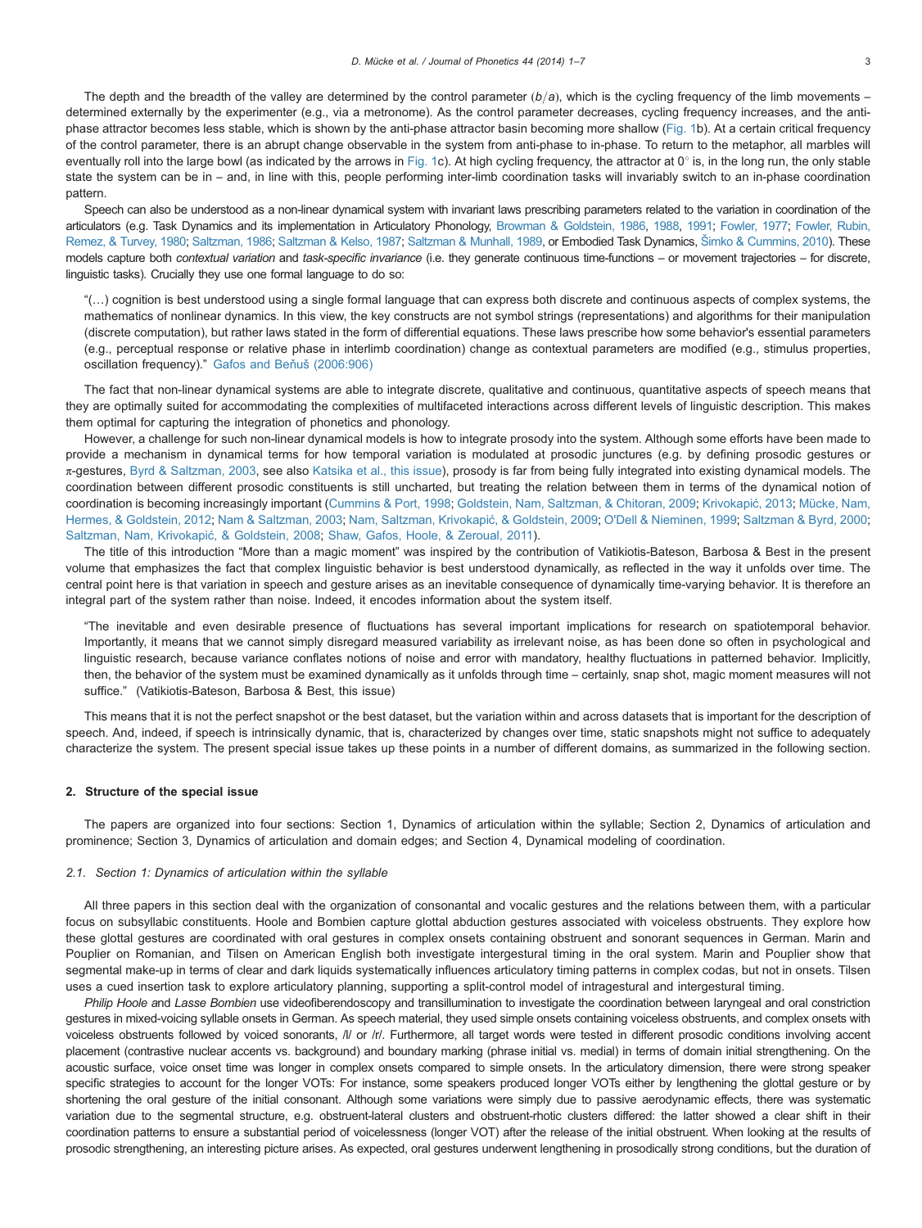The depth and the breadth of the valley are determined by the control parameter  $(b/a)$ , which is the cycling frequency of the limb movements – determined externally by the experimenter (e.g., via a metronome). As the control parameter decreases, cycling frequency increases, and the antiphase attractor becomes less stable, which is shown by the anti-phase attractor basin becoming more shallow ([Fig. 1](#page-1-0)b). At a certain critical frequency of the control parameter, there is an abrupt change observable in the system from anti-phase to in-phase. To return to the metaphor, all marbles will eventually roll into the large bowl (as indicated by the arrows in [Fig. 1c](#page-1-0)). At high cycling frequency, the attractor at  $0^\circ$  is, in the long run, the only stable state the system can be in – and, in line with this, people performing inter-limb coordination tasks will invariably switch to an in-phase coordination pattern.

Speech can also be understood as a non-linear dynamical system with invariant laws prescribing parameters related to the variation in coordination of the articulators (e.g. Task Dynamics and its implementation in Articulatory Phonology, [Browman & Goldstein, 1986](#page-6-0), [1988,](#page-6-0) [1991](#page-6-0); [Fowler, 1977;](#page-6-0) [Fowler, Rubin,](#page-6-0) [Remez, & Turvey, 1980](#page-6-0); [Saltzman, 1986;](#page-6-0) [Saltzman & Kelso, 1987](#page-6-0); [Saltzman & Munhall, 1989](#page-6-0), or Embodied Task Dynamics, Š[imko & Cummins, 2010](#page-6-0)). These models capture both contextual variation and task-specific invariance (i.e. they generate continuous time-functions – or movement trajectories – for discrete, linguistic tasks). Crucially they use one formal language to do so:

"(…) cognition is best understood using a single formal language that can express both discrete and continuous aspects of complex systems, the mathematics of nonlinear dynamics. In this view, the key constructs are not symbol strings (representations) and algorithms for their manipulation (discrete computation), but rather laws stated in the form of differential equations. These laws prescribe how some behavior's essential parameters (e.g., perceptual response or relative phase in interlimb coordination) change as contextual parameters are modified (e.g., stimulus properties, oscillation frequency)." [Gafos and Be](#page-6-0)ňuš (2006:906)

The fact that non-linear dynamical systems are able to integrate discrete, qualitative and continuous, quantitative aspects of speech means that they are optimally suited for accommodating the complexities of multifaceted interactions across different levels of linguistic description. This makes them optimal for capturing the integration of phonetics and phonology.

However, a challenge for such non-linear dynamical models is how to integrate prosody into the system. Although some efforts have been made to provide a mechanism in dynamical terms for how temporal variation is modulated at prosodic junctures (e.g. by defining prosodic gestures or π-gestures, [Byrd & Saltzman, 2003](#page-6-0), see also [Katsika et al., this issue\)](#page-6-0), prosody is far from being fully integrated into existing dynamical models. The coordination between different prosodic constituents is still uncharted, but treating the relation between them in terms of the dynamical notion of coordination is becoming increasingly important [\(Cummins & Port, 1998](#page-6-0); [Goldstein, Nam, Saltzman, & Chitoran, 2009;](#page-6-0) [Krivokapi](#page-6-0)ć, 2013; Mü[cke, Nam,](#page-6-0) [Hermes,](#page-6-0) & [Goldstein, 2012;](#page-6-0) [Nam](#page-6-0) & [Saltzman, 2003](#page-6-0); [Nam, Saltzman, Krivokapi](#page-6-0)ć, [& Goldstein, 2009](#page-6-0); [O'Dell & Nieminen, 1999](#page-6-0); [Saltzman](#page-6-0) [& Byrd, 2000](#page-6-0); [Saltzman, Nam, Krivokapi](#page-6-0)ć, & [Goldstein, 2008](#page-6-0); [Shaw, Gafos, Hoole, & Zeroual, 2011\)](#page-6-0).

The title of this introduction "More than a magic moment" was inspired by the contribution of Vatikiotis-Bateson, Barbosa & Best in the present volume that emphasizes the fact that complex linguistic behavior is best understood dynamically, as reflected in the way it unfolds over time. The central point here is that variation in speech and gesture arises as an inevitable consequence of dynamically time-varying behavior. It is therefore an integral part of the system rather than noise. Indeed, it encodes information about the system itself.

"The inevitable and even desirable presence of fluctuations has several important implications for research on spatiotemporal behavior. Importantly, it means that we cannot simply disregard measured variability as irrelevant noise, as has been done so often in psychological and linguistic research, because variance conflates notions of noise and error with mandatory, healthy fluctuations in patterned behavior. Implicitly, then, the behavior of the system must be examined dynamically as it unfolds through time – certainly, snap shot, magic moment measures will not suffice." (Vatikiotis-Bateson, Barbosa & Best, this issue)

This means that it is not the perfect snapshot or the best dataset, but the variation within and across datasets that is important for the description of speech. And, indeed, if speech is intrinsically dynamic, that is, characterized by changes over time, static snapshots might not suffice to adequately characterize the system. The present special issue takes up these points in a number of different domains, as summarized in the following section.

#### 2. Structure of the special issue

The papers are organized into four sections: Section 1, Dynamics of articulation within the syllable; Section 2, Dynamics of articulation and prominence; Section 3, Dynamics of articulation and domain edges; and Section 4, Dynamical modeling of coordination.

#### 2.1. Section 1: Dynamics of articulation within the syllable

All three papers in this section deal with the organization of consonantal and vocalic gestures and the relations between them, with a particular focus on subsyllabic constituents. Hoole and Bombien capture glottal abduction gestures associated with voiceless obstruents. They explore how these glottal gestures are coordinated with oral gestures in complex onsets containing obstruent and sonorant sequences in German. Marin and Pouplier on Romanian, and Tilsen on American English both investigate intergestural timing in the oral system. Marin and Pouplier show that segmental make-up in terms of clear and dark liquids systematically influences articulatory timing patterns in complex codas, but not in onsets. Tilsen uses a cued insertion task to explore articulatory planning, supporting a split-control model of intragestural and intergestural timing.

Philip Hoole and Lasse Bombien use videofiberendoscopy and transillumination to investigate the coordination between laryngeal and oral constriction gestures in mixed-voicing syllable onsets in German. As speech material, they used simple onsets containing voiceless obstruents, and complex onsets with voiceless obstruents followed by voiced sonorants, /l/ or /r/. Furthermore, all target words were tested in different prosodic conditions involving accent placement (contrastive nuclear accents vs. background) and boundary marking (phrase initial vs. medial) in terms of domain initial strengthening. On the acoustic surface, voice onset time was longer in complex onsets compared to simple onsets. In the articulatory dimension, there were strong speaker specific strategies to account for the longer VOTs: For instance, some speakers produced longer VOTs either by lengthening the glottal gesture or by shortening the oral gesture of the initial consonant. Although some variations were simply due to passive aerodynamic effects, there was systematic variation due to the segmental structure, e.g. obstruent-lateral clusters and obstruent-rhotic clusters differed: the latter showed a clear shift in their coordination patterns to ensure a substantial period of voicelessness (longer VOT) after the release of the initial obstruent. When looking at the results of prosodic strengthening, an interesting picture arises. As expected, oral gestures underwent lengthening in prosodically strong conditions, but the duration of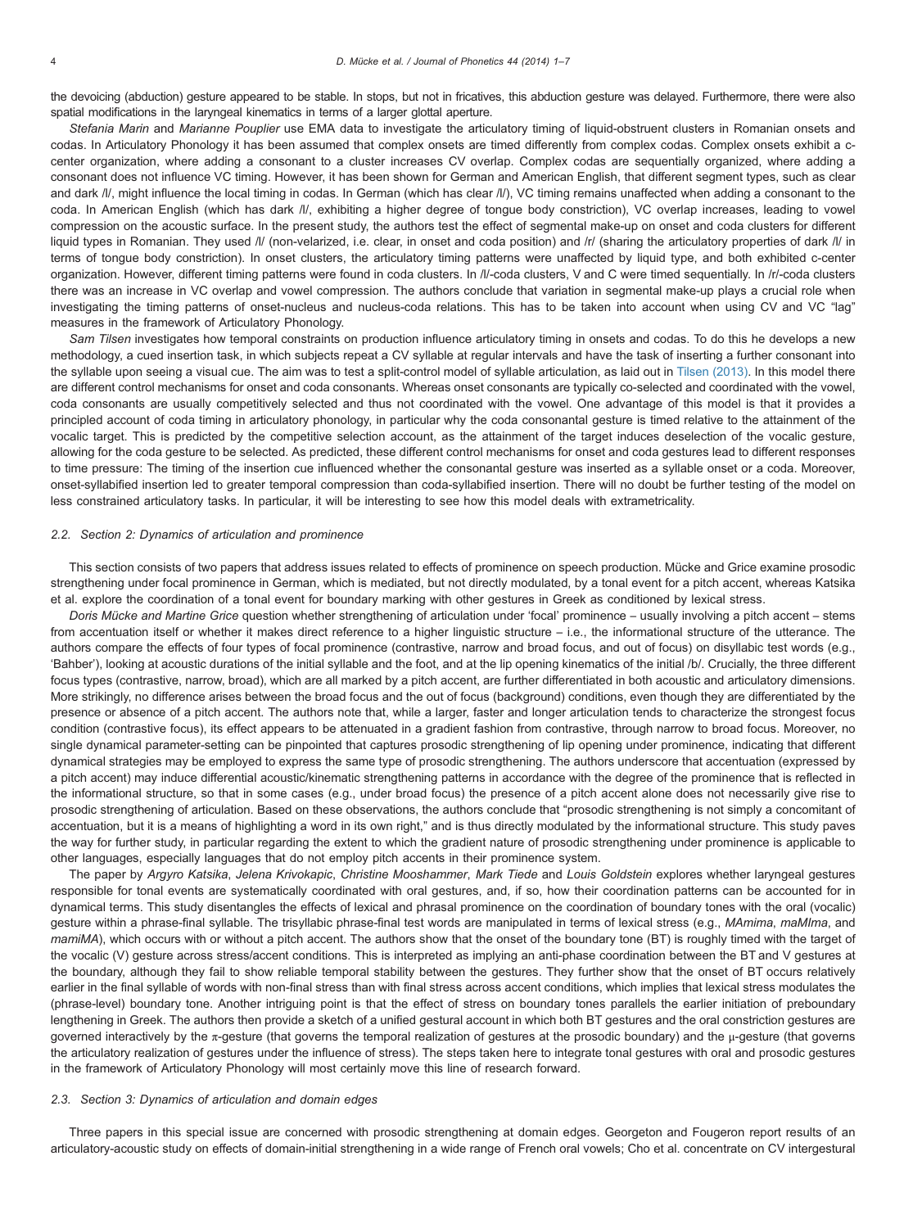the devoicing (abduction) gesture appeared to be stable. In stops, but not in fricatives, this abduction gesture was delayed. Furthermore, there were also spatial modifications in the laryngeal kinematics in terms of a larger glottal aperture.

Stefania Marin and Marianne Pouplier use EMA data to investigate the articulatory timing of liquid-obstruent clusters in Romanian onsets and codas. In Articulatory Phonology it has been assumed that complex onsets are timed differently from complex codas. Complex onsets exhibit a ccenter organization, where adding a consonant to a cluster increases CV overlap. Complex codas are sequentially organized, where adding a consonant does not influence VC timing. However, it has been shown for German and American English, that different segment types, such as clear and dark /l/, might influence the local timing in codas. In German (which has clear /l/), VC timing remains unaffected when adding a consonant to the coda. In American English (which has dark /l/, exhibiting a higher degree of tongue body constriction), VC overlap increases, leading to vowel compression on the acoustic surface. In the present study, the authors test the effect of segmental make-up on onset and coda clusters for different liquid types in Romanian. They used /l/ (non-velarized, i.e. clear, in onset and coda position) and /r/ (sharing the articulatory properties of dark /l/ in terms of tongue body constriction). In onset clusters, the articulatory timing patterns were unaffected by liquid type, and both exhibited c-center organization. However, different timing patterns were found in coda clusters. In /l/-coda clusters, V and C were timed sequentially. In /r/-coda clusters there was an increase in VC overlap and vowel compression. The authors conclude that variation in segmental make-up plays a crucial role when investigating the timing patterns of onset-nucleus and nucleus-coda relations. This has to be taken into account when using CV and VC "lag" measures in the framework of Articulatory Phonology.

Sam Tilsen investigates how temporal constraints on production influence articulatory timing in onsets and codas. To do this he develops a new methodology, a cued insertion task, in which subjects repeat a CV syllable at regular intervals and have the task of inserting a further consonant into the syllable upon seeing a visual cue. The aim was to test a split-control model of syllable articulation, as laid out in [Tilsen \(2013\)](#page-6-0). In this model there are different control mechanisms for onset and coda consonants. Whereas onset consonants are typically co-selected and coordinated with the vowel, coda consonants are usually competitively selected and thus not coordinated with the vowel. One advantage of this model is that it provides a principled account of coda timing in articulatory phonology, in particular why the coda consonantal gesture is timed relative to the attainment of the vocalic target. This is predicted by the competitive selection account, as the attainment of the target induces deselection of the vocalic gesture, allowing for the coda gesture to be selected. As predicted, these different control mechanisms for onset and coda gestures lead to different responses to time pressure: The timing of the insertion cue influenced whether the consonantal gesture was inserted as a syllable onset or a coda. Moreover, onset-syllabified insertion led to greater temporal compression than coda-syllabified insertion. There will no doubt be further testing of the model on less constrained articulatory tasks. In particular, it will be interesting to see how this model deals with extrametricality.

#### 2.2. Section 2: Dynamics of articulation and prominence

This section consists of two papers that address issues related to effects of prominence on speech production. Mücke and Grice examine prosodic strengthening under focal prominence in German, which is mediated, but not directly modulated, by a tonal event for a pitch accent, whereas Katsika et al. explore the coordination of a tonal event for boundary marking with other gestures in Greek as conditioned by lexical stress.

Doris Mücke and Martine Grice question whether strengthening of articulation under 'focal' prominence – usually involving a pitch accent – stems from accentuation itself or whether it makes direct reference to a higher linguistic structure – i.e., the informational structure of the utterance. The authors compare the effects of four types of focal prominence (contrastive, narrow and broad focus, and out of focus) on disyllabic test words (e.g., 'Bahber'), looking at acoustic durations of the initial syllable and the foot, and at the lip opening kinematics of the initial /b/. Crucially, the three different focus types (contrastive, narrow, broad), which are all marked by a pitch accent, are further differentiated in both acoustic and articulatory dimensions. More strikingly, no difference arises between the broad focus and the out of focus (background) conditions, even though they are differentiated by the presence or absence of a pitch accent. The authors note that, while a larger, faster and longer articulation tends to characterize the strongest focus condition (contrastive focus), its effect appears to be attenuated in a gradient fashion from contrastive, through narrow to broad focus. Moreover, no single dynamical parameter-setting can be pinpointed that captures prosodic strengthening of lip opening under prominence, indicating that different dynamical strategies may be employed to express the same type of prosodic strengthening. The authors underscore that accentuation (expressed by a pitch accent) may induce differential acoustic/kinematic strengthening patterns in accordance with the degree of the prominence that is reflected in the informational structure, so that in some cases (e.g., under broad focus) the presence of a pitch accent alone does not necessarily give rise to prosodic strengthening of articulation. Based on these observations, the authors conclude that "prosodic strengthening is not simply a concomitant of accentuation, but it is a means of highlighting a word in its own right," and is thus directly modulated by the informational structure. This study paves the way for further study, in particular regarding the extent to which the gradient nature of prosodic strengthening under prominence is applicable to other languages, especially languages that do not employ pitch accents in their prominence system.

The paper by Argyro Katsika, Jelena Krivokapic, Christine Mooshammer, Mark Tiede and Louis Goldstein explores whether laryngeal gestures responsible for tonal events are systematically coordinated with oral gestures, and, if so, how their coordination patterns can be accounted for in dynamical terms. This study disentangles the effects of lexical and phrasal prominence on the coordination of boundary tones with the oral (vocalic) gesture within a phrase-final syllable. The trisyllabic phrase-final test words are manipulated in terms of lexical stress (e.g., MAmima, maMIma, and mamiMA), which occurs with or without a pitch accent. The authors show that the onset of the boundary tone (BT) is roughly timed with the target of the vocalic (V) gesture across stress/accent conditions. This is interpreted as implying an anti-phase coordination between the BT and V gestures at the boundary, although they fail to show reliable temporal stability between the gestures. They further show that the onset of BT occurs relatively earlier in the final syllable of words with non-final stress than with final stress across accent conditions, which implies that lexical stress modulates the (phrase-level) boundary tone. Another intriguing point is that the effect of stress on boundary tones parallels the earlier initiation of preboundary lengthening in Greek. The authors then provide a sketch of a unified gestural account in which both BT gestures and the oral constriction gestures are governed interactively by the π-gesture (that governs the temporal realization of gestures at the prosodic boundary) and the μ-gesture (that governs the articulatory realization of gestures under the influence of stress). The steps taken here to integrate tonal gestures with oral and prosodic gestures in the framework of Articulatory Phonology will most certainly move this line of research forward.

#### 2.3. Section 3: Dynamics of articulation and domain edges

Three papers in this special issue are concerned with prosodic strengthening at domain edges. Georgeton and Fougeron report results of an articulatory-acoustic study on effects of domain-initial strengthening in a wide range of French oral vowels; Cho et al. concentrate on CV intergestural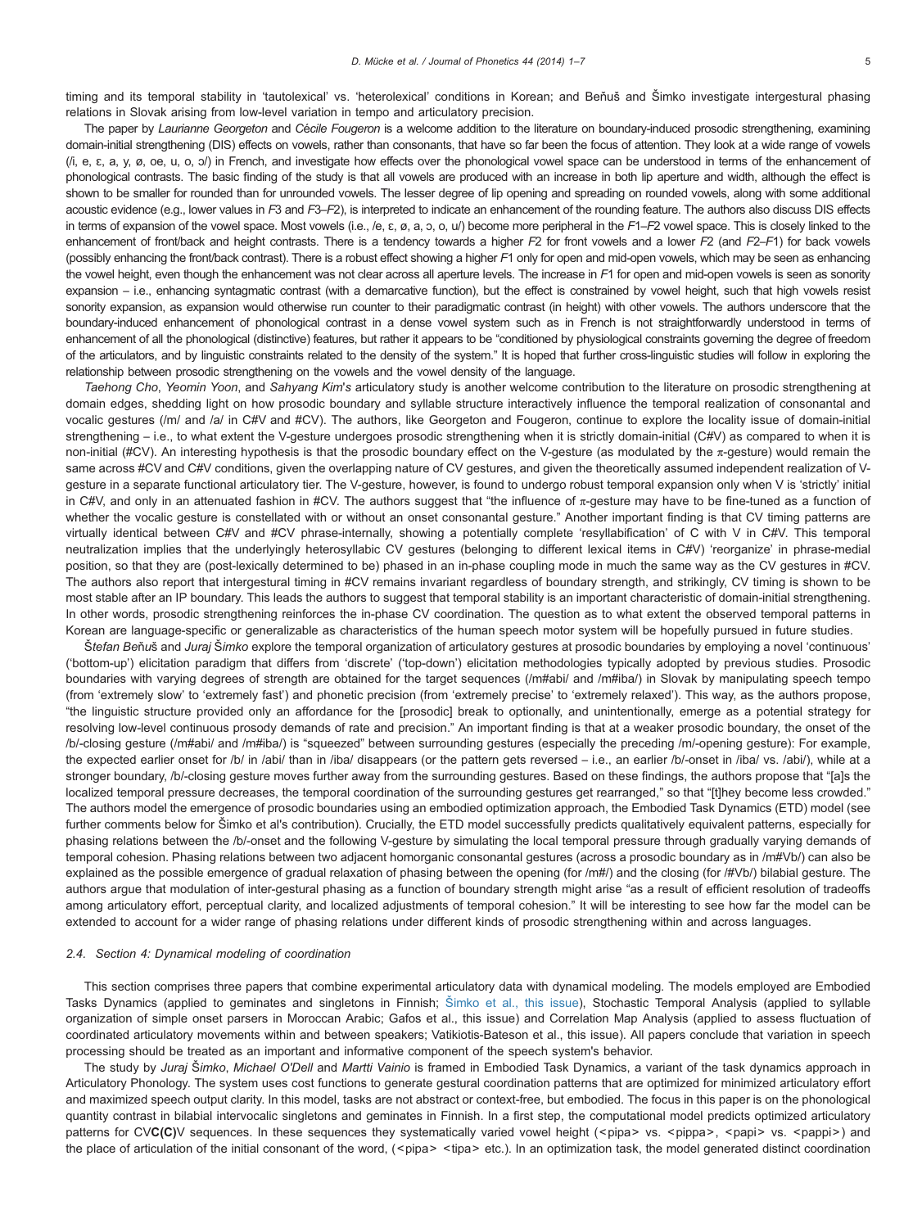timing and its temporal stability in 'tautolexical' vs. 'heterolexical' conditions in Korean; and Beňuš and Šimko investigate intergestural phasing relations in Slovak arising from low-level variation in tempo and articulatory precision.

The paper by Laurianne Georgeton and Cécile Fougeron is a welcome addition to the literature on boundary-induced prosodic strengthening, examining domain-initial strengthening (DIS) effects on vowels, rather than consonants, that have so far been the focus of attention. They look at a wide range of vowels (/i, e, ɛ, a, y, ø, oe, u, o, ɔ/) in French, and investigate how effects over the phonological vowel space can be understood in terms of the enhancement of phonological contrasts. The basic finding of the study is that all vowels are produced with an increase in both lip aperture and width, although the effect is shown to be smaller for rounded than for unrounded vowels. The lesser degree of lip opening and spreading on rounded vowels, along with some additional acoustic evidence (e.g., lower values in F3 and F3–F2), is interpreted to indicate an enhancement of the rounding feature. The authors also discuss DIS effects in terms of expansion of the vowel space. Most vowels (i.e., /e, ɛ, ø, a, ɔ, o, u/) become more peripheral in the F1–F2 vowel space. This is closely linked to the enhancement of front/back and height contrasts. There is a tendency towards a higher F2 for front vowels and a lower F2 (and F2–F1) for back vowels (possibly enhancing the front/back contrast). There is a robust effect showing a higher F1 only for open and mid-open vowels, which may be seen as enhancing the vowel height, even though the enhancement was not clear across all aperture levels. The increase in F1 for open and mid-open vowels is seen as sonority expansion – i.e., enhancing syntagmatic contrast (with a demarcative function), but the effect is constrained by vowel height, such that high vowels resist sonority expansion, as expansion would otherwise run counter to their paradigmatic contrast (in height) with other vowels. The authors underscore that the boundary-induced enhancement of phonological contrast in a dense vowel system such as in French is not straightforwardly understood in terms of enhancement of all the phonological (distinctive) features, but rather it appears to be "conditioned by physiological constraints governing the degree of freedom of the articulators, and by linguistic constraints related to the density of the system." It is hoped that further cross-linguistic studies will follow in exploring the relationship between prosodic strengthening on the vowels and the vowel density of the language.

Taehong Cho, Yeomin Yoon, and Sahyang Kim's articulatory study is another welcome contribution to the literature on prosodic strengthening at domain edges, shedding light on how prosodic boundary and syllable structure interactively influence the temporal realization of consonantal and vocalic gestures (/m/ and /a/ in C#V and #CV). The authors, like Georgeton and Fougeron, continue to explore the locality issue of domain-initial strengthening – i.e., to what extent the V-gesture undergoes prosodic strengthening when it is strictly domain-initial (C#V) as compared to when it is non-initial (#CV). An interesting hypothesis is that the prosodic boundary effect on the V-gesture (as modulated by the π-gesture) would remain the same across #CV and C#V conditions, given the overlapping nature of CV gestures, and given the theoretically assumed independent realization of Vgesture in a separate functional articulatory tier. The V-gesture, however, is found to undergo robust temporal expansion only when V is 'strictly' initial in C#V, and only in an attenuated fashion in #CV. The authors suggest that "the influence of π-gesture may have to be fine-tuned as a function of whether the vocalic gesture is constellated with or without an onset consonantal gesture." Another important finding is that CV timing patterns are virtually identical between C#V and #CV phrase-internally, showing a potentially complete 'resyllabification' of C with V in C#V. This temporal neutralization implies that the underlyingly heterosyllabic CV gestures (belonging to different lexical items in C#V) 'reorganize' in phrase-medial position, so that they are (post-lexically determined to be) phased in an in-phase coupling mode in much the same way as the CV gestures in #CV. The authors also report that intergestural timing in #CV remains invariant regardless of boundary strength, and strikingly, CV timing is shown to be most stable after an IP boundary. This leads the authors to suggest that temporal stability is an important characteristic of domain-initial strengthening. In other words, prosodic strengthening reinforces the in-phase CV coordination. The question as to what extent the observed temporal patterns in Korean are language-specific or generalizable as characteristics of the human speech motor system will be hopefully pursued in future studies.

Štefan Beňuš and Juraj Šimko explore the temporal organization of articulatory gestures at prosodic boundaries by employing a novel 'continuous' ('bottom-up') elicitation paradigm that differs from 'discrete' ('top-down') elicitation methodologies typically adopted by previous studies. Prosodic boundaries with varying degrees of strength are obtained for the target sequences (/m#abi/ and /m#iba/) in Slovak by manipulating speech tempo (from 'extremely slow' to 'extremely fast') and phonetic precision (from 'extremely precise' to 'extremely relaxed'). This way, as the authors propose, "the linguistic structure provided only an affordance for the [prosodic] break to optionally, and unintentionally, emerge as a potential strategy for resolving low-level continuous prosody demands of rate and precision." An important finding is that at a weaker prosodic boundary, the onset of the /b/-closing gesture (/m#abi/ and /m#iba/) is "squeezed" between surrounding gestures (especially the preceding /m/-opening gesture): For example, the expected earlier onset for /b/ in /abi/ than in /iba/ disappears (or the pattern gets reversed – i.e., an earlier /b/-onset in /iba/ vs. /abi/), while at a stronger boundary, /b/-closing gesture moves further away from the surrounding gestures. Based on these findings, the authors propose that "[a]s the localized temporal pressure decreases, the temporal coordination of the surrounding gestures get rearranged," so that "[t]hey become less crowded." The authors model the emergence of prosodic boundaries using an embodied optimization approach, the Embodied Task Dynamics (ETD) model (see further comments below for Šimko et al's contribution). Crucially, the ETD model successfully predicts qualitatively equivalent patterns, especially for phasing relations between the /b/-onset and the following V-gesture by simulating the local temporal pressure through gradually varying demands of temporal cohesion. Phasing relations between two adjacent homorganic consonantal gestures (across a prosodic boundary as in /m#Vb/) can also be explained as the possible emergence of gradual relaxation of phasing between the opening (for /m#/) and the closing (for /#Vb/) bilabial gesture. The authors argue that modulation of inter-gestural phasing as a function of boundary strength might arise "as a result of efficient resolution of tradeoffs among articulatory effort, perceptual clarity, and localized adjustments of temporal cohesion." It will be interesting to see how far the model can be extended to account for a wider range of phasing relations under different kinds of prosodic strengthening within and across languages.

## 2.4. Section 4: Dynamical modeling of coordination

This section comprises three papers that combine experimental articulatory data with dynamical modeling. The models employed are Embodied Tasks Dynamics (applied to geminates and singletons in Finnish; Š[imko et al., this issue](#page-6-0)), Stochastic Temporal Analysis (applied to syllable organization of simple onset parsers in Moroccan Arabic; Gafos et al., this issue) and Correlation Map Analysis (applied to assess fluctuation of coordinated articulatory movements within and between speakers; Vatikiotis-Bateson et al., this issue). All papers conclude that variation in speech processing should be treated as an important and informative component of the speech system's behavior.

The study by Juraj Šimko, Michael O'Dell and Martti Vainio is framed in Embodied Task Dynamics, a variant of the task dynamics approach in Articulatory Phonology. The system uses cost functions to generate gestural coordination patterns that are optimized for minimized articulatory effort and maximized speech output clarity. In this model, tasks are not abstract or context-free, but embodied. The focus in this paper is on the phonological quantity contrast in bilabial intervocalic singletons and geminates in Finnish. In a first step, the computational model predicts optimized articulatory patterns for CVC(C)V sequences. In these sequences they systematically varied vowel height (<pipa> vs. <pippa>, <papi> vs. <pappi>) and the place of articulation of the initial consonant of the word, (<pipa> <tipa> etc.). In an optimization task, the model generated distinct coordination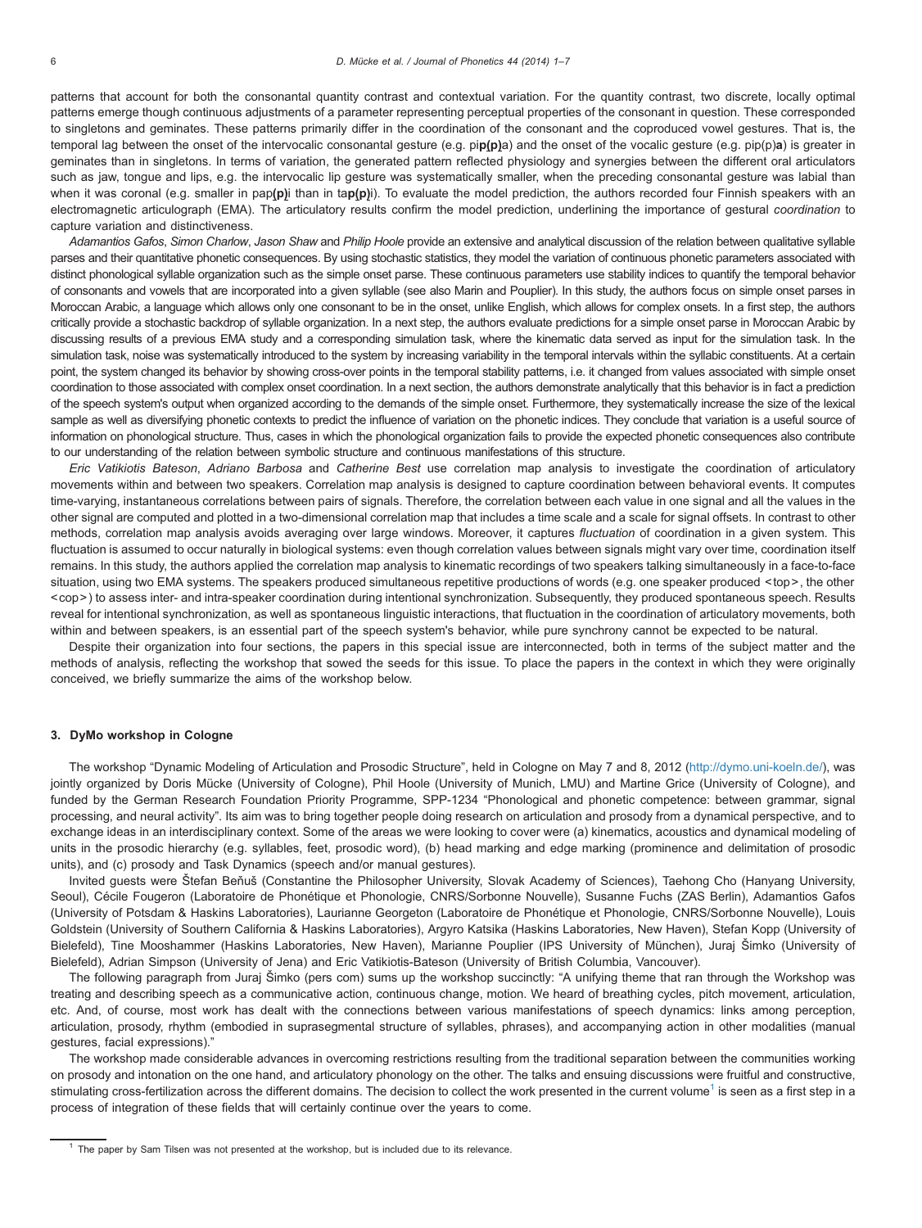patterns that account for both the consonantal quantity contrast and contextual variation. For the quantity contrast, two discrete, locally optimal patterns emerge though continuous adjustments of a parameter representing perceptual properties of the consonant in question. These corresponded to singletons and geminates. These patterns primarily differ in the coordination of the consonant and the coproduced vowel gestures. That is, the temporal lag between the onset of the intervocalic consonantal gesture (e.g. pip(p)a) and the onset of the vocalic gesture (e.g. pip(p)a) is greater in geminates than in singletons. In terms of variation, the generated pattern reflected physiology and synergies between the different oral articulators such as jaw, tongue and lips, e.g. the intervocalic lip gesture was systematically smaller, when the preceding consonantal gesture was labial than when it was coronal (e.g. smaller in pap(p)i than in tap(p)i). To evaluate the model prediction, the authors recorded four Finnish speakers with an electromagnetic articulograph (EMA). The articulatory results confirm the model prediction, underlining the importance of gestural coordination to capture variation and distinctiveness.

Adamantios Gafos, Simon Charlow, Jason Shaw and Philip Hoole provide an extensive and analytical discussion of the relation between qualitative syllable parses and their quantitative phonetic consequences. By using stochastic statistics, they model the variation of continuous phonetic parameters associated with distinct phonological syllable organization such as the simple onset parse. These continuous parameters use stability indices to quantify the temporal behavior of consonants and vowels that are incorporated into a given syllable (see also Marin and Pouplier). In this study, the authors focus on simple onset parses in Moroccan Arabic, a language which allows only one consonant to be in the onset, unlike English, which allows for complex onsets. In a first step, the authors critically provide a stochastic backdrop of syllable organization. In a next step, the authors evaluate predictions for a simple onset parse in Moroccan Arabic by discussing results of a previous EMA study and a corresponding simulation task, where the kinematic data served as input for the simulation task. In the simulation task, noise was systematically introduced to the system by increasing variability in the temporal intervals within the syllabic constituents. At a certain point, the system changed its behavior by showing cross-over points in the temporal stability patterns, i.e. it changed from values associated with simple onset coordination to those associated with complex onset coordination. In a next section, the authors demonstrate analytically that this behavior is in fact a prediction of the speech system's output when organized according to the demands of the simple onset. Furthermore, they systematically increase the size of the lexical sample as well as diversifying phonetic contexts to predict the influence of variation on the phonetic indices. They conclude that variation is a useful source of information on phonological structure. Thus, cases in which the phonological organization fails to provide the expected phonetic consequences also contribute to our understanding of the relation between symbolic structure and continuous manifestations of this structure.

Eric Vatikiotis Bateson, Adriano Barbosa and Catherine Best use correlation map analysis to investigate the coordination of articulatory movements within and between two speakers. Correlation map analysis is designed to capture coordination between behavioral events. It computes time-varying, instantaneous correlations between pairs of signals. Therefore, the correlation between each value in one signal and all the values in the other signal are computed and plotted in a two-dimensional correlation map that includes a time scale and a scale for signal offsets. In contrast to other methods, correlation map analysis avoids averaging over large windows. Moreover, it captures fluctuation of coordination in a given system. This fluctuation is assumed to occur naturally in biological systems: even though correlation values between signals might vary over time, coordination itself remains. In this study, the authors applied the correlation map analysis to kinematic recordings of two speakers talking simultaneously in a face-to-face situation, using two EMA systems. The speakers produced simultaneous repetitive productions of words (e.g. one speaker produced <top>, the other <cop> ) to assess inter- and intra-speaker coordination during intentional synchronization. Subsequently, they produced spontaneous speech. Results reveal for intentional synchronization, as well as spontaneous linguistic interactions, that fluctuation in the coordination of articulatory movements, both within and between speakers, is an essential part of the speech system's behavior, while pure synchrony cannot be expected to be natural.

Despite their organization into four sections, the papers in this special issue are interconnected, both in terms of the subject matter and the methods of analysis, reflecting the workshop that sowed the seeds for this issue. To place the papers in the context in which they were originally conceived, we briefly summarize the aims of the workshop below.

#### 3. DyMo workshop in Cologne

The workshop "Dynamic Modeling of Articulation and Prosodic Structure", held in Cologne on May 7 and 8, 2012 [\(http://dymo.uni-koeln.de/](http://dymo.uni-koeln.de/)), was jointly organized by Doris Mücke (University of Cologne), Phil Hoole (University of Munich, LMU) and Martine Grice (University of Cologne), and funded by the German Research Foundation Priority Programme, SPP-1234 "Phonological and phonetic competence: between grammar, signal processing, and neural activity". Its aim was to bring together people doing research on articulation and prosody from a dynamical perspective, and to exchange ideas in an interdisciplinary context. Some of the areas we were looking to cover were (a) kinematics, acoustics and dynamical modeling of units in the prosodic hierarchy (e.g. syllables, feet, prosodic word), (b) head marking and edge marking (prominence and delimitation of prosodic units), and (c) prosody and Task Dynamics (speech and/or manual gestures).

Invited guests were Štefan Beňuš (Constantine the Philosopher University, Slovak Academy of Sciences), Taehong Cho (Hanyang University, Seoul), Cécile Fougeron (Laboratoire de Phonétique et Phonologie, CNRS/Sorbonne Nouvelle), Susanne Fuchs (ZAS Berlin), Adamantios Gafos (University of Potsdam & Haskins Laboratories), Laurianne Georgeton (Laboratoire de Phonétique et Phonologie, CNRS/Sorbonne Nouvelle), Louis Goldstein (University of Southern California & Haskins Laboratories), Argyro Katsika (Haskins Laboratories, New Haven), Stefan Kopp (University of Bielefeld), Tine Mooshammer (Haskins Laboratories, New Haven), Marianne Pouplier (IPS University of München), Juraj Šimko (University of Bielefeld), Adrian Simpson (University of Jena) and Eric Vatikiotis-Bateson (University of British Columbia, Vancouver).

The following paragraph from Juraj Šimko (pers com) sums up the workshop succinctly: "A unifying theme that ran through the Workshop was treating and describing speech as a communicative action, continuous change, motion. We heard of breathing cycles, pitch movement, articulation, etc. And, of course, most work has dealt with the connections between various manifestations of speech dynamics: links among perception, articulation, prosody, rhythm (embodied in suprasegmental structure of syllables, phrases), and accompanying action in other modalities (manual gestures, facial expressions)."

The workshop made considerable advances in overcoming restrictions resulting from the traditional separation between the communities working on prosody and intonation on the one hand, and articulatory phonology on the other. The talks and ensuing discussions were fruitful and constructive, stimulating cross-fertilization across the different domains. The decision to collect the work presented in the current volume<sup>1</sup> is seen as a first step in a process of integration of these fields that will certainly continue over the years to come.

 $1$  The paper by Sam Tilsen was not presented at the workshop, but is included due to its relevance.